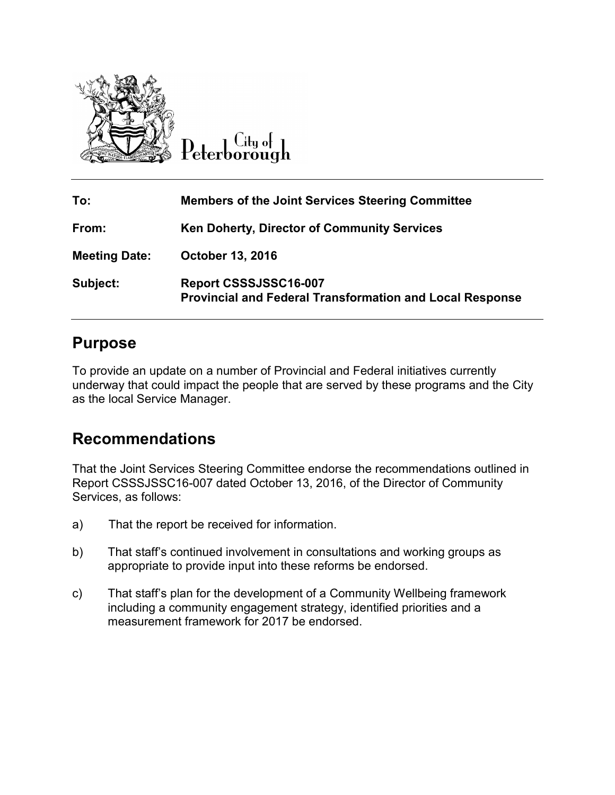

 $C$ ity of eterborough

| To:                  | <b>Members of the Joint Services Steering Committee</b>                                  |
|----------------------|------------------------------------------------------------------------------------------|
| From:                | <b>Ken Doherty, Director of Community Services</b>                                       |
| <b>Meeting Date:</b> | <b>October 13, 2016</b>                                                                  |
| Subject:             | Report CSSSJSSC16-007<br><b>Provincial and Federal Transformation and Local Response</b> |

# **Purpose**

To provide an update on a number of Provincial and Federal initiatives currently underway that could impact the people that are served by these programs and the City as the local Service Manager.

# **Recommendations**

That the Joint Services Steering Committee endorse the recommendations outlined in Report CSSSJSSC16-007 dated October 13, 2016, of the Director of Community Services, as follows:

- a) That the report be received for information.
- b) That staff's continued involvement in consultations and working groups as appropriate to provide input into these reforms be endorsed.
- c) That staff's plan for the development of a Community Wellbeing framework including a community engagement strategy, identified priorities and a measurement framework for 2017 be endorsed.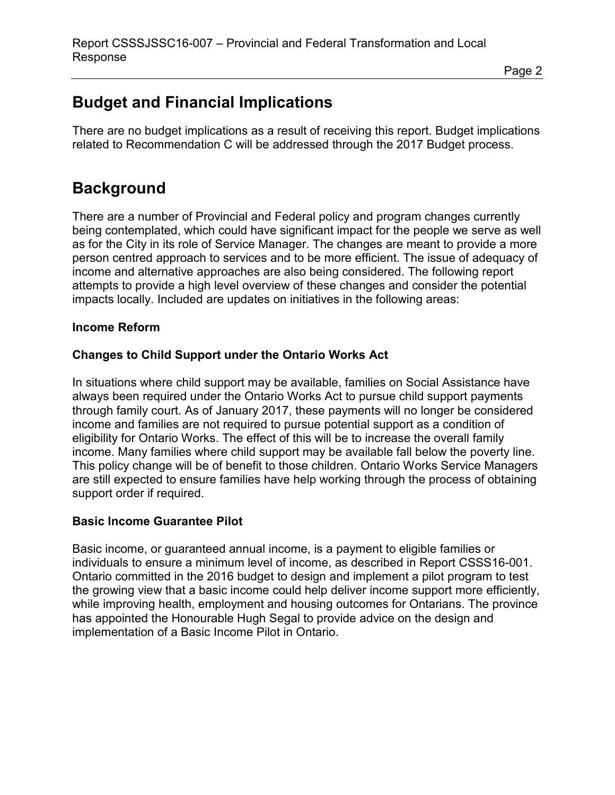#### Page 2

# **Budget and Financial Implications**

There are no budget implications as a result of receiving this report. Budget implications related to Recommendation C will be addressed through the 2017 Budget process.

# **Background**

There are a number of Provincial and Federal policy and program changes currently being contemplated, which could have significant impact for the people we serve as well as for the City in its role of Service Manager. The changes are meant to provide a more person centred approach to services and to be more efficient. The issue of adequacy of income and alternative approaches are also being considered. The following report attempts to provide a high level overview of these changes and consider the potential impacts locally. Included are updates on initiatives in the following areas:

#### **Income Reform**

#### **Changes to Child Support under the Ontario Works Act**

In situations where child support may be available, families on Social Assistance have always been required under the Ontario Works Act to pursue child support payments through family court. As of January 2017, these payments will no longer be considered income and families are not required to pursue potential support as a condition of eligibility for Ontario Works. The effect of this will be to increase the overall family income. Many families where child support may be available fall below the poverty line. This policy change will be of benefit to those children. Ontario Works Service Managers are still expected to ensure families have help working through the process of obtaining support order if required.

#### **Basic Income Guarantee Pilot**

Basic income, or guaranteed annual income, is a payment to eligible families or individuals to ensure a minimum level of income, as described in Report CSSS16-001. Ontario committed in the 2016 budget to design and implement a pilot program to test the growing view that a basic income could help deliver income support more efficiently, while improving health, employment and housing outcomes for Ontarians. The province has appointed the Honourable Hugh Segal to provide advice on the design and implementation of a Basic Income Pilot in Ontario.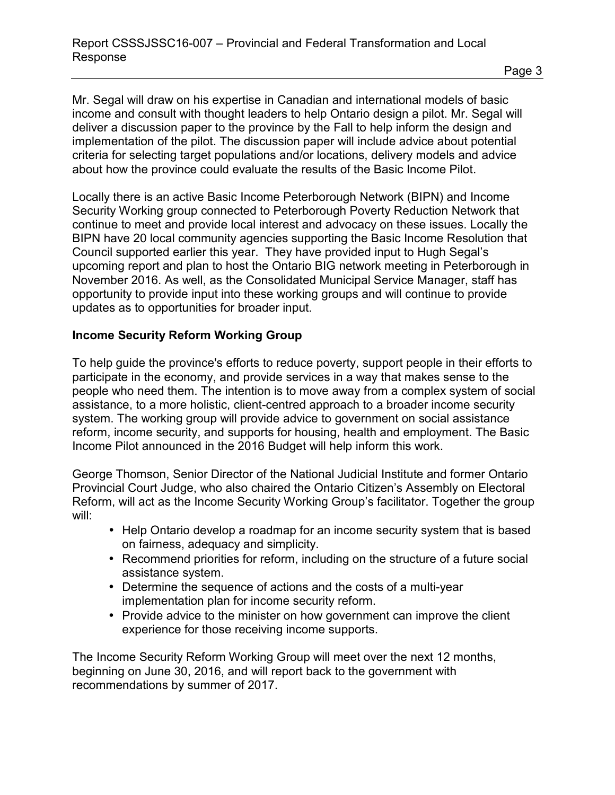Mr. Segal will draw on his expertise in Canadian and international models of basic income and consult with thought leaders to help Ontario design a pilot. Mr. Segal will deliver a discussion paper to the province by the Fall to help inform the design and implementation of the pilot. The discussion paper will include advice about potential criteria for selecting target populations and/or locations, delivery models and advice about how the province could evaluate the results of the Basic Income Pilot.

Locally there is an active Basic Income Peterborough Network (BIPN) and Income Security Working group connected to Peterborough Poverty Reduction Network that continue to meet and provide local interest and advocacy on these issues. Locally the BIPN have 20 local community agencies supporting the Basic Income Resolution that Council supported earlier this year. They have provided input to Hugh Segal's upcoming report and plan to host the Ontario BIG network meeting in Peterborough in November 2016. As well, as the Consolidated Municipal Service Manager, staff has opportunity to provide input into these working groups and will continue to provide updates as to opportunities for broader input.

#### **Income Security Reform Working Group**

To help guide the province's efforts to reduce poverty, support people in their efforts to participate in the economy, and provide services in a way that makes sense to the people who need them. The intention is to move away from a complex system of social assistance, to a more holistic, client-centred approach to a broader income security system. The working group will provide advice to government on social assistance reform, income security, and supports for housing, health and employment. The Basic Income Pilot announced in the 2016 Budget will help inform this work.

George Thomson, Senior Director of the National Judicial Institute and former Ontario Provincial Court Judge, who also chaired the Ontario Citizen's Assembly on Electoral Reform, will act as the Income Security Working Group's facilitator. Together the group will:

- Help Ontario develop a roadmap for an income security system that is based on fairness, adequacy and simplicity.
- Recommend priorities for reform, including on the structure of a future social assistance system.
- Determine the sequence of actions and the costs of a multi-year implementation plan for income security reform.
- Provide advice to the minister on how government can improve the client experience for those receiving income supports.

The Income Security Reform Working Group will meet over the next 12 months, beginning on June 30, 2016, and will report back to the government with recommendations by summer of 2017.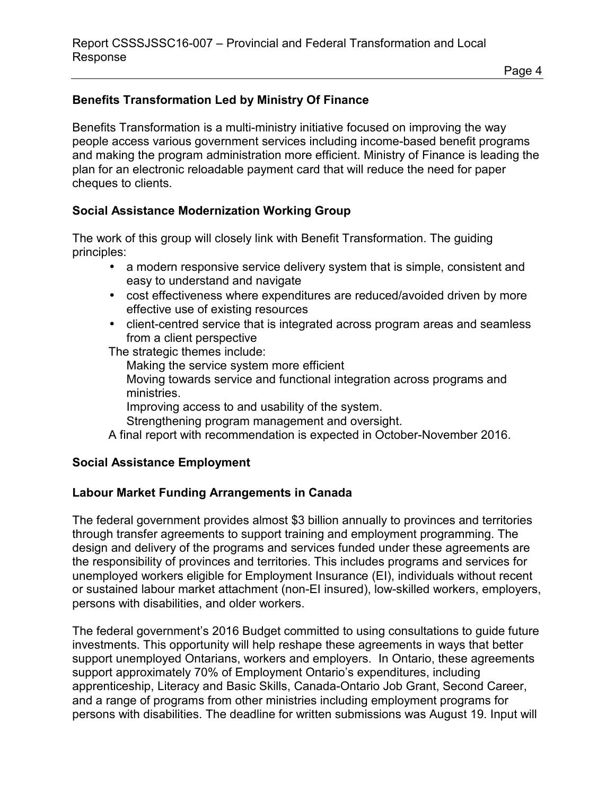### **Benefits Transformation Led by Ministry Of Finance**

Benefits Transformation is a multi-ministry initiative focused on improving the way people access various government services including income-based benefit programs and making the program administration more efficient. Ministry of Finance is leading the plan for an electronic reloadable payment card that will reduce the need for paper cheques to clients.

#### **Social Assistance Modernization Working Group**

The work of this group will closely link with Benefit Transformation. The guiding principles:

- a modern responsive service delivery system that is simple, consistent and easy to understand and navigate
- cost effectiveness where expenditures are reduced/avoided driven by more effective use of existing resources
- client-centred service that is integrated across program areas and seamless from a client perspective

The strategic themes include:

 Making the service system more efficient Moving towards service and functional integration across programs and ministries. Improving access to and usability of the system. Strengthening program management and oversight.

A final report with recommendation is expected in October-November 2016.

#### **Social Assistance Employment**

### **Labour Market Funding Arrangements in Canada**

The federal government provides almost \$3 billion annually to provinces and territories through transfer agreements to support training and employment programming. The design and delivery of the programs and services funded under these agreements are the responsibility of provinces and territories. This includes programs and services for unemployed workers eligible for Employment Insurance (EI), individuals without recent or sustained labour market attachment (non-EI insured), low-skilled workers, employers, persons with disabilities, and older workers.

The federal government's 2016 Budget committed to using consultations to guide future investments. This opportunity will help reshape these agreements in ways that better support unemployed Ontarians, workers and employers. In Ontario, these agreements support approximately 70% of Employment Ontario's expenditures, including apprenticeship, Literacy and Basic Skills, Canada-Ontario Job Grant, Second Career, and a range of programs from other ministries including employment programs for persons with disabilities. The deadline for written submissions was August 19. Input will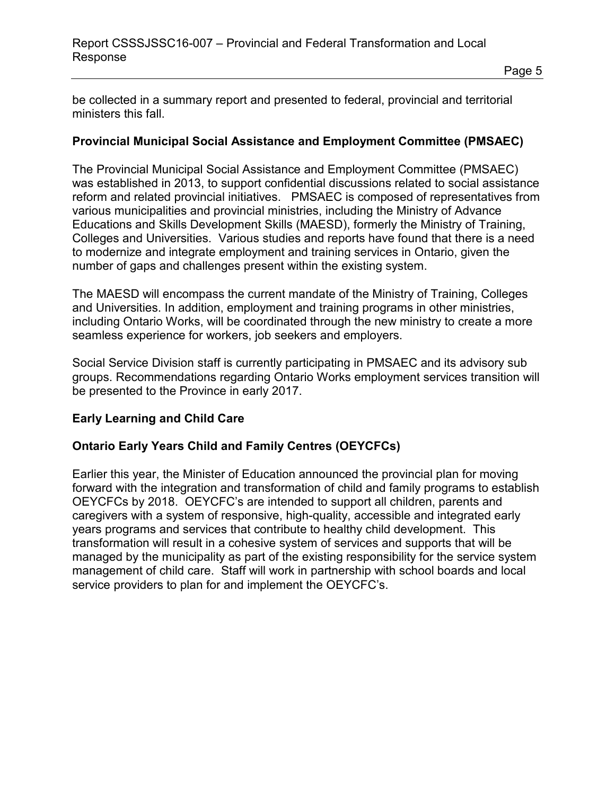be collected in a summary report and presented to federal, provincial and territorial ministers this fall.

#### **Provincial Municipal Social Assistance and Employment Committee (PMSAEC)**

The Provincial Municipal Social Assistance and Employment Committee (PMSAEC) was established in 2013, to support confidential discussions related to social assistance reform and related provincial initiatives. PMSAEC is composed of representatives from various municipalities and provincial ministries, including the Ministry of Advance Educations and Skills Development Skills (MAESD), formerly the Ministry of Training, Colleges and Universities. Various studies and reports have found that there is a need to modernize and integrate employment and training services in Ontario, given the number of gaps and challenges present within the existing system.

The MAESD will encompass the current mandate of the Ministry of Training, Colleges and Universities. In addition, employment and training programs in other ministries, including Ontario Works, will be coordinated through the new ministry to create a more seamless experience for workers, job seekers and employers.

Social Service Division staff is currently participating in PMSAEC and its advisory sub groups. Recommendations regarding Ontario Works employment services transition will be presented to the Province in early 2017.

#### **Early Learning and Child Care**

#### **Ontario Early Years Child and Family Centres (OEYCFCs)**

Earlier this year, the Minister of Education announced the provincial plan for moving forward with the integration and transformation of child and family programs to establish OEYCFCs by 2018. OEYCFC's are intended to support all children, parents and caregivers with a system of responsive, high-quality, accessible and integrated early years programs and services that contribute to healthy child development. This transformation will result in a cohesive system of services and supports that will be managed by the municipality as part of the existing responsibility for the service system management of child care. Staff will work in partnership with school boards and local service providers to plan for and implement the OEYCFC's.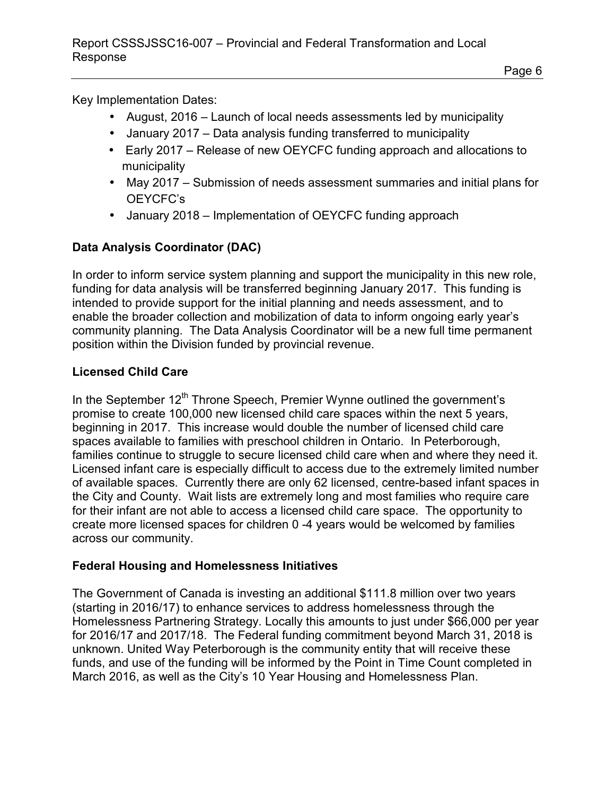Key Implementation Dates:

- August, 2016 Launch of local needs assessments led by municipality
- January 2017 Data analysis funding transferred to municipality
- Early 2017 Release of new OEYCFC funding approach and allocations to municipality
- May 2017 Submission of needs assessment summaries and initial plans for OEYCFC's
- January 2018 Implementation of OEYCFC funding approach

## **Data Analysis Coordinator (DAC)**

In order to inform service system planning and support the municipality in this new role, funding for data analysis will be transferred beginning January 2017. This funding is intended to provide support for the initial planning and needs assessment, and to enable the broader collection and mobilization of data to inform ongoing early year's community planning. The Data Analysis Coordinator will be a new full time permanent position within the Division funded by provincial revenue.

### **Licensed Child Care**

In the September  $12<sup>th</sup>$  Throne Speech, Premier Wynne outlined the government's promise to create 100,000 new licensed child care spaces within the next 5 years, beginning in 2017. This increase would double the number of licensed child care spaces available to families with preschool children in Ontario. In Peterborough, families continue to struggle to secure licensed child care when and where they need it. Licensed infant care is especially difficult to access due to the extremely limited number of available spaces. Currently there are only 62 licensed, centre-based infant spaces in the City and County. Wait lists are extremely long and most families who require care for their infant are not able to access a licensed child care space. The opportunity to create more licensed spaces for children 0 -4 years would be welcomed by families across our community.

### **Federal Housing and Homelessness Initiatives**

The Government of Canada is investing an additional \$111.8 million over two years (starting in 2016/17) to enhance services to address homelessness through the Homelessness Partnering Strategy. Locally this amounts to just under \$66,000 per year for 2016/17 and 2017/18. The Federal funding commitment beyond March 31, 2018 is unknown. United Way Peterborough is the community entity that will receive these funds, and use of the funding will be informed by the Point in Time Count completed in March 2016, as well as the City's 10 Year Housing and Homelessness Plan.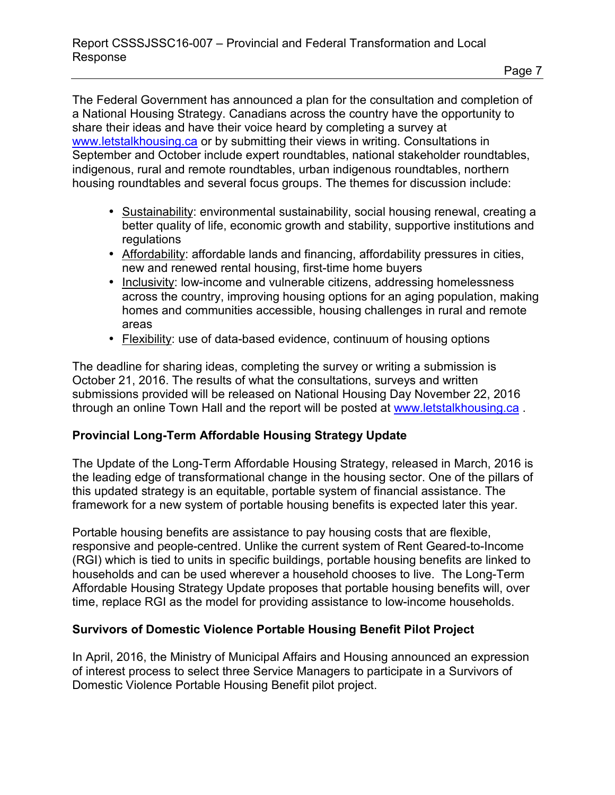The Federal Government has announced a plan for the consultation and completion of a National Housing Strategy. Canadians across the country have the opportunity to share their ideas and have their voice heard by completing a survey at [www.letstalkhousing.ca](http://www.letstalkhousing.ca/) or by submitting their views in writing. Consultations in September and October include expert roundtables, national stakeholder roundtables, indigenous, rural and remote roundtables, urban indigenous roundtables, northern housing roundtables and several focus groups. The themes for discussion include:

- Sustainability: environmental sustainability, social housing renewal, creating a better quality of life, economic growth and stability, supportive institutions and regulations
- Affordability: affordable lands and financing, affordability pressures in cities, new and renewed rental housing, first-time home buyers
- Inclusivity: low-income and vulnerable citizens, addressing homelessness across the country, improving housing options for an aging population, making homes and communities accessible, housing challenges in rural and remote areas
- Flexibility: use of data-based evidence, continuum of housing options

The deadline for sharing ideas, completing the survey or writing a submission is October 21, 2016. The results of what the consultations, surveys and written submissions provided will be released on National Housing Day November 22, 2016 through an online Town Hall and the report will be posted at [www.letstalkhousing.ca](http://www.letstalkhousing.ca/) .

#### **Provincial Long-Term Affordable Housing Strategy Update**

The Update of the Long-Term Affordable Housing Strategy, released in March, 2016 is the leading edge of transformational change in the housing sector. One of the pillars of this updated strategy is an equitable, portable system of financial assistance. The framework for a new system of portable housing benefits is expected later this year.

Portable housing benefits are assistance to pay housing costs that are flexible, responsive and people-centred. Unlike the current system of Rent Geared-to-Income (RGI) which is tied to units in specific buildings, portable housing benefits are linked to households and can be used wherever a household chooses to live. The Long-Term Affordable Housing Strategy Update proposes that portable housing benefits will, over time, replace RGI as the model for providing assistance to low-income households.

#### **Survivors of Domestic Violence Portable Housing Benefit Pilot Project**

In April, 2016, the Ministry of Municipal Affairs and Housing announced an expression of interest process to select three Service Managers to participate in a Survivors of Domestic Violence Portable Housing Benefit pilot project.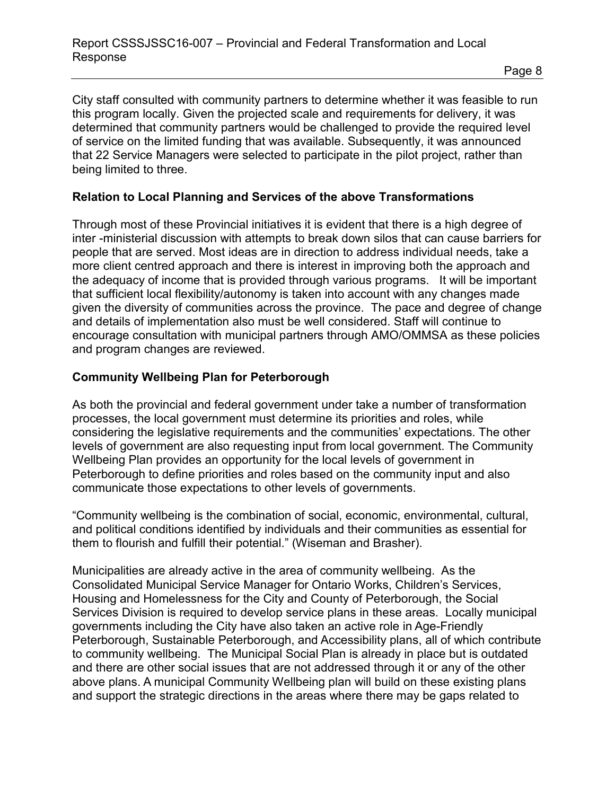City staff consulted with community partners to determine whether it was feasible to run this program locally. Given the projected scale and requirements for delivery, it was determined that community partners would be challenged to provide the required level of service on the limited funding that was available. Subsequently, it was announced that 22 Service Managers were selected to participate in the pilot project, rather than being limited to three.

#### **Relation to Local Planning and Services of the above Transformations**

Through most of these Provincial initiatives it is evident that there is a high degree of inter -ministerial discussion with attempts to break down silos that can cause barriers for people that are served. Most ideas are in direction to address individual needs, take a more client centred approach and there is interest in improving both the approach and the adequacy of income that is provided through various programs. It will be important that sufficient local flexibility/autonomy is taken into account with any changes made given the diversity of communities across the province. The pace and degree of change and details of implementation also must be well considered. Staff will continue to encourage consultation with municipal partners through AMO/OMMSA as these policies and program changes are reviewed.

### **Community Wellbeing Plan for Peterborough**

As both the provincial and federal government under take a number of transformation processes, the local government must determine its priorities and roles, while considering the legislative requirements and the communities' expectations. The other levels of government are also requesting input from local government. The Community Wellbeing Plan provides an opportunity for the local levels of government in Peterborough to define priorities and roles based on the community input and also communicate those expectations to other levels of governments.

"Community wellbeing is the combination of social, economic, environmental, cultural, and political conditions identified by individuals and their communities as essential for them to flourish and fulfill their potential." (Wiseman and Brasher).

Municipalities are already active in the area of community wellbeing. As the Consolidated Municipal Service Manager for Ontario Works, Children's Services, Housing and Homelessness for the City and County of Peterborough, the Social Services Division is required to develop service plans in these areas. Locally municipal governments including the City have also taken an active role in Age-Friendly Peterborough, Sustainable Peterborough, and Accessibility plans, all of which contribute to community wellbeing. The Municipal Social Plan is already in place but is outdated and there are other social issues that are not addressed through it or any of the other above plans. A municipal Community Wellbeing plan will build on these existing plans and support the strategic directions in the areas where there may be gaps related to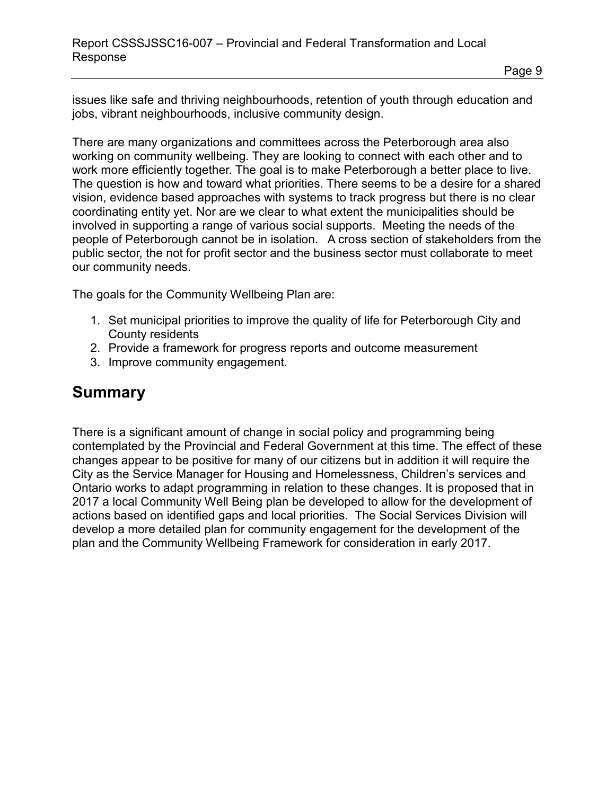Page 9

issues like safe and thriving neighbourhoods, retention of youth through education and jobs, vibrant neighbourhoods, inclusive community design.

There are many organizations and committees across the Peterborough area also working on community wellbeing. They are looking to connect with each other and to work more efficiently together. The goal is to make Peterborough a better place to live. The question is how and toward what priorities. There seems to be a desire for a shared vision, evidence based approaches with systems to track progress but there is no clear coordinating entity yet. Nor are we clear to what extent the municipalities should be involved in supporting a range of various social supports. Meeting the needs of the people of Peterborough cannot be in isolation. A cross section of stakeholders from the public sector, the not for profit sector and the business sector must collaborate to meet our community needs.

The goals for the Community Wellbeing Plan are:

- 1. Set municipal priorities to improve the quality of life for Peterborough City and County residents
- 2. Provide a framework for progress reports and outcome measurement
- 3. Improve community engagement.

# **Summary**

There is a significant amount of change in social policy and programming being contemplated by the Provincial and Federal Government at this time. The effect of these changes appear to be positive for many of our citizens but in addition it will require the City as the Service Manager for Housing and Homelessness, Children's services and Ontario works to adapt programming in relation to these changes. It is proposed that in 2017 a local Community Well Being plan be developed to allow for the development of actions based on identified gaps and local priorities. The Social Services Division will develop a more detailed plan for community engagement for the development of the plan and the Community Wellbeing Framework for consideration in early 2017.